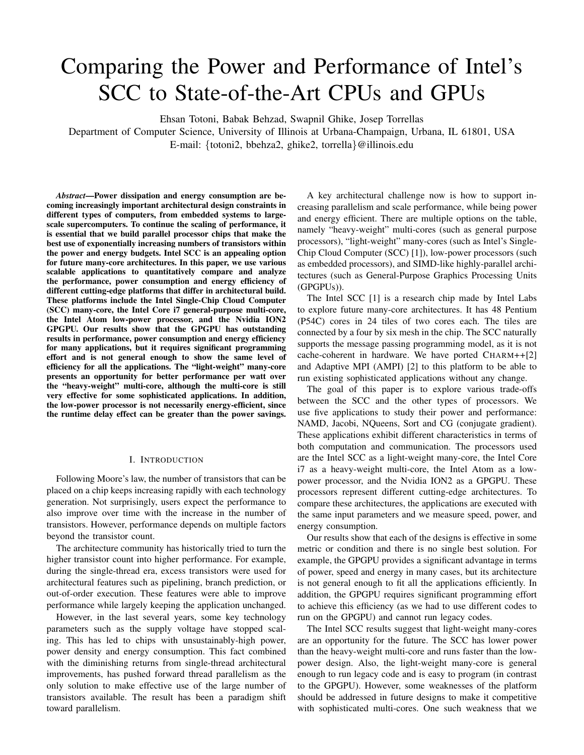# Comparing the Power and Performance of Intel's SCC to State-of-the-Art CPUs and GPUs

Ehsan Totoni, Babak Behzad, Swapnil Ghike, Josep Torrellas

Department of Computer Science, University of Illinois at Urbana-Champaign, Urbana, IL 61801, USA E-mail: {totoni2, bbehza2, ghike2, torrella}@illinois.edu

*Abstract*—Power dissipation and energy consumption are becoming increasingly important architectural design constraints in different types of computers, from embedded systems to largescale supercomputers. To continue the scaling of performance, it is essential that we build parallel processor chips that make the best use of exponentially increasing numbers of transistors within the power and energy budgets. Intel SCC is an appealing option for future many-core architectures. In this paper, we use various scalable applications to quantitatively compare and analyze the performance, power consumption and energy efficiency of different cutting-edge platforms that differ in architectural build. These platforms include the Intel Single-Chip Cloud Computer (SCC) many-core, the Intel Core i7 general-purpose multi-core, the Intel Atom low-power processor, and the Nvidia ION2 GPGPU. Our results show that the GPGPU has outstanding results in performance, power consumption and energy efficiency for many applications, but it requires significant programming effort and is not general enough to show the same level of efficiency for all the applications. The "light-weight" many-core presents an opportunity for better performance per watt over the "heavy-weight" multi-core, although the multi-core is still very effective for some sophisticated applications. In addition, the low-power processor is not necessarily energy-efficient, since the runtime delay effect can be greater than the power savings.

# I. INTRODUCTION

Following Moore's law, the number of transistors that can be placed on a chip keeps increasing rapidly with each technology generation. Not surprisingly, users expect the performance to also improve over time with the increase in the number of transistors. However, performance depends on multiple factors beyond the transistor count.

The architecture community has historically tried to turn the higher transistor count into higher performance. For example, during the single-thread era, excess transistors were used for architectural features such as pipelining, branch prediction, or out-of-order execution. These features were able to improve performance while largely keeping the application unchanged.

However, in the last several years, some key technology parameters such as the supply voltage have stopped scaling. This has led to chips with unsustainably-high power, power density and energy consumption. This fact combined with the diminishing returns from single-thread architectural improvements, has pushed forward thread parallelism as the only solution to make effective use of the large number of transistors available. The result has been a paradigm shift toward parallelism.

A key architectural challenge now is how to support increasing parallelism and scale performance, while being power and energy efficient. There are multiple options on the table, namely "heavy-weight" multi-cores (such as general purpose processors), "light-weight" many-cores (such as Intel's Single-Chip Cloud Computer (SCC) [1]), low-power processors (such as embedded processors), and SIMD-like highly-parallel architectures (such as General-Purpose Graphics Processing Units (GPGPUs)).

The Intel SCC [1] is a research chip made by Intel Labs to explore future many-core architectures. It has 48 Pentium (P54C) cores in 24 tiles of two cores each. The tiles are connected by a four by six mesh in the chip. The SCC naturally supports the message passing programming model, as it is not cache-coherent in hardware. We have ported CHARM++[2] and Adaptive MPI (AMPI) [2] to this platform to be able to run existing sophisticated applications without any change.

The goal of this paper is to explore various trade-offs between the SCC and the other types of processors. We use five applications to study their power and performance: NAMD, Jacobi, NQueens, Sort and CG (conjugate gradient). These applications exhibit different characteristics in terms of both computation and communication. The processors used are the Intel SCC as a light-weight many-core, the Intel Core i7 as a heavy-weight multi-core, the Intel Atom as a lowpower processor, and the Nvidia ION2 as a GPGPU. These processors represent different cutting-edge architectures. To compare these architectures, the applications are executed with the same input parameters and we measure speed, power, and energy consumption.

Our results show that each of the designs is effective in some metric or condition and there is no single best solution. For example, the GPGPU provides a significant advantage in terms of power, speed and energy in many cases, but its architecture is not general enough to fit all the applications efficiently. In addition, the GPGPU requires significant programming effort to achieve this efficiency (as we had to use different codes to run on the GPGPU) and cannot run legacy codes.

The Intel SCC results suggest that light-weight many-cores are an opportunity for the future. The SCC has lower power than the heavy-weight multi-core and runs faster than the lowpower design. Also, the light-weight many-core is general enough to run legacy code and is easy to program (in contrast to the GPGPU). However, some weaknesses of the platform should be addressed in future designs to make it competitive with sophisticated multi-cores. One such weakness that we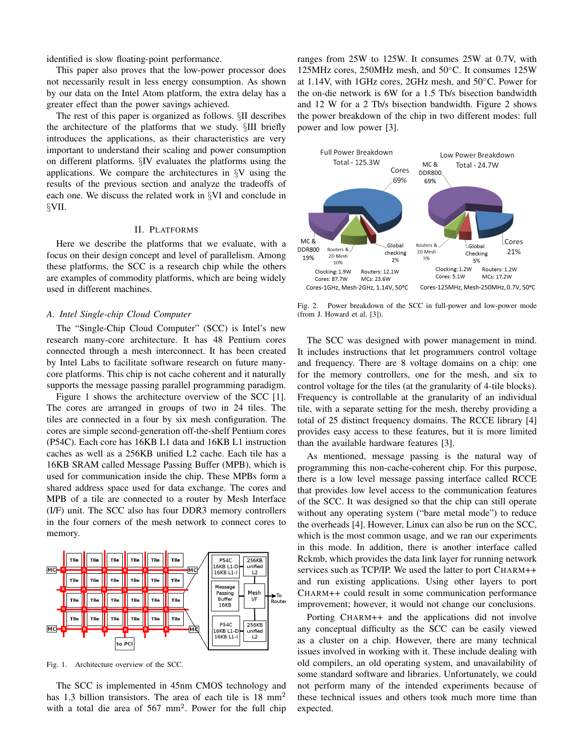identified is slow floating-point performance.

This paper also proves that the low-power processor does not necessarily result in less energy consumption. As shown by our data on the Intel Atom platform, the extra delay has a greater effect than the power savings achieved.

The rest of this paper is organized as follows. §II describes the architecture of the platforms that we study. §III briefly introduces the applications, as their characteristics are very important to understand their scaling and power consumption on different platforms. §IV evaluates the platforms using the applications. We compare the architectures in §V using the results of the previous section and analyze the tradeoffs of each one. We discuss the related work in §VI and conclude in §VII.

# II. PLATFORMS

Here we describe the platforms that we evaluate, with a focus on their design concept and level of parallelism. Among these platforms, the SCC is a research chip while the others are examples of commodity platforms, which are being widely used in different machines.

# *A. Intel Single-chip Cloud Computer*

The "Single-Chip Cloud Computer" (SCC) is Intel's new research many-core architecture. It has 48 Pentium cores connected through a mesh interconnect. It has been created by Intel Labs to facilitate software research on future manycore platforms. This chip is not cache coherent and it naturally supports the message passing parallel programming paradigm.

Figure 1 shows the architecture overview of the SCC [1]. The cores are arranged in groups of two in 24 tiles. The tiles are connected in a four by six mesh configuration. The cores are simple second-generation off-the-shelf Pentium cores (P54C). Each core has 16KB L1 data and 16KB L1 instruction caches as well as a 256KB unified L2 cache. Each tile has a 16KB SRAM called Message Passing Buffer (MPB), which is used for communication inside the chip. These MPBs form a shared address space used for data exchange. The cores and MPB of a tile are connected to a router by Mesh Interface (I/F) unit. The SCC also has four DDR3 memory controllers in the four corners of the mesh network to connect cores to memory.



Fig. 1. Architecture overview of the SCC.

The SCC is implemented in 45nm CMOS technology and has 1.3 billion transistors. The area of each tile is  $18 \text{ mm}^2$ with a total die area of  $567 \text{ mm}^2$ . Power for the full chip ranges from 25W to 125W. It consumes 25W at 0.7V, with 125MHz cores, 250MHz mesh, and 50◦C. It consumes 125W at 1.14V, with 1GHz cores, 2GHz mesh, and 50◦C. Power for the on-die network is 6W for a 1.5 Tb/s bisection bandwidth and 12 W for a 2 Tb/s bisection bandwidth. Figure 2 shows the power breakdown of the chip in two different modes: full power and low power [3].



Fig. 2. Power breakdown of the SCC in full-power and low-power mode (from J. Howard et al. [3]).

The SCC was designed with power management in mind. It includes instructions that let programmers control voltage and frequency. There are 8 voltage domains on a chip: one for the memory controllers, one for the mesh, and six to control voltage for the tiles (at the granularity of 4-tile blocks). Frequency is controllable at the granularity of an individual tile, with a separate setting for the mesh, thereby providing a total of 25 distinct frequency domains. The RCCE library [4] provides easy access to these features, but it is more limited than the available hardware features [3].

As mentioned, message passing is the natural way of programming this non-cache-coherent chip. For this purpose, there is a low level message passing interface called RCCE that provides low level access to the communication features of the SCC. It was designed so that the chip can still operate without any operating system ("bare metal mode") to reduce the overheads [4]. However, Linux can also be run on the SCC, which is the most common usage, and we ran our experiments in this mode. In addition, there is another interface called Rckmb, which provides the data link layer for running network services such as TCP/IP. We used the latter to port CHARM++ and run existing applications. Using other layers to port CHARM++ could result in some communication performance improvement; however, it would not change our conclusions.

Porting CHARM++ and the applications did not involve any conceptual difficulty as the SCC can be easily viewed as a cluster on a chip. However, there are many technical issues involved in working with it. These include dealing with old compilers, an old operating system, and unavailability of some standard software and libraries. Unfortunately, we could not perform many of the intended experiments because of these technical issues and others took much more time than expected.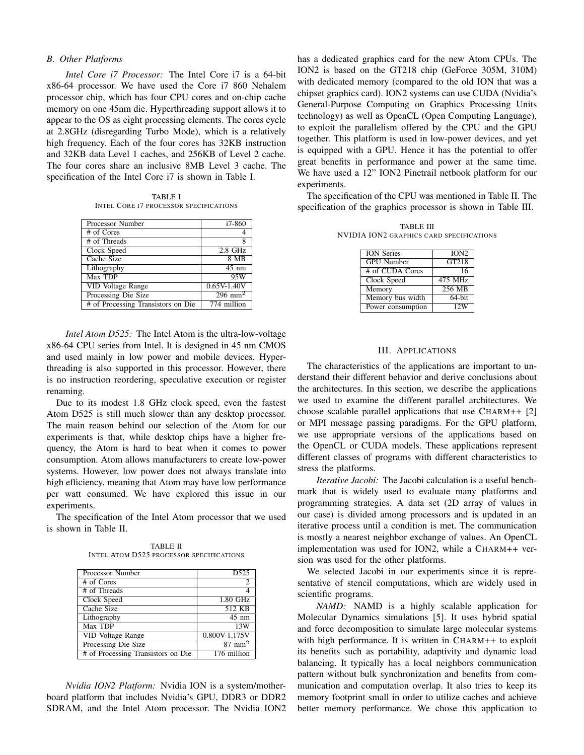# *B. Other Platforms*

*Intel Core i7 Processor:* The Intel Core i7 is a 64-bit x86-64 processor. We have used the Core i7 860 Nehalem processor chip, which has four CPU cores and on-chip cache memory on one 45nm die. Hyperthreading support allows it to appear to the OS as eight processing elements. The cores cycle at 2.8GHz (disregarding Turbo Mode), which is a relatively high frequency. Each of the four cores has 32KB instruction and 32KB data Level 1 caches, and 256KB of Level 2 cache. The four cores share an inclusive 8MB Level 3 cache. The specification of the Intel Core i7 is shown in Table I.

TABLE I INTEL CORE I7 PROCESSOR SPECIFICATIONS

| Processor Number                   | $i7-860$              |
|------------------------------------|-----------------------|
| # of Cores                         |                       |
| # of Threads                       | Ջ                     |
| Clock Speed                        | $2.8$ GHz             |
| Cache Size                         | $8\overline{MB}$      |
| Lithography                        | $45 \text{ nm}$       |
| Max TDP                            | 95W                   |
| <b>VID Voltage Range</b>           | $0.65V - 1.40V$       |
| Processing Die Size                | $296$ mm <sup>2</sup> |
| # of Processing Transistors on Die | 774 million           |

*Intel Atom D525:* The Intel Atom is the ultra-low-voltage x86-64 CPU series from Intel. It is designed in 45 nm CMOS and used mainly in low power and mobile devices. Hyperthreading is also supported in this processor. However, there is no instruction reordering, speculative execution or register renaming.

Due to its modest 1.8 GHz clock speed, even the fastest Atom D525 is still much slower than any desktop processor. The main reason behind our selection of the Atom for our experiments is that, while desktop chips have a higher frequency, the Atom is hard to beat when it comes to power consumption. Atom allows manufacturers to create low-power systems. However, low power does not always translate into high efficiency, meaning that Atom may have low performance per watt consumed. We have explored this issue in our experiments.

The specification of the Intel Atom processor that we used is shown in Table II.

TABLE II INTEL ATOM D525 PROCESSOR SPECIFICATIONS

| Processor Number                   | D525              |
|------------------------------------|-------------------|
| # of Cores                         |                   |
| # of Threads                       |                   |
| Clock Speed                        | 1.80 GHz          |
| Cache Size                         | 512 KB            |
| Lithography                        | $45 \text{ nm}$   |
| Max TDP                            | 13W               |
| VID Voltage Range                  | 0.800V-1.175V     |
| Processing Die Size                | $87 \text{ mm}^2$ |
| # of Processing Transistors on Die | 176 million       |

*Nvidia ION2 Platform:* Nvidia ION is a system/motherboard platform that includes Nvidia's GPU, DDR3 or DDR2 SDRAM, and the Intel Atom processor. The Nvidia ION2 has a dedicated graphics card for the new Atom CPUs. The ION2 is based on the GT218 chip (GeForce 305M, 310M) with dedicated memory (compared to the old ION that was a chipset graphics card). ION2 systems can use CUDA (Nvidia's General-Purpose Computing on Graphics Processing Units technology) as well as OpenCL (Open Computing Language), to exploit the parallelism offered by the CPU and the GPU together. This platform is used in low-power devices, and yet is equipped with a GPU. Hence it has the potential to offer great benefits in performance and power at the same time. We have used a 12" ION2 Pinetrail netbook platform for our experiments.

The specification of the CPU was mentioned in Table II. The specification of the graphics processor is shown in Table III.

| TABLE III |  |                                          |  |  |
|-----------|--|------------------------------------------|--|--|
|           |  | NVIDIA ION2 GRAPHICS CARD SPECIFICATIONS |  |  |

| <b>ION</b> Series | ION <sub>2</sub>     |
|-------------------|----------------------|
| <b>GPU</b> Number | GT218                |
| # of CUDA Cores   | 16                   |
| Clock Speed       | 475 MHz              |
| Memory            | $256$ MB             |
| Memory bus width  | $\overline{64}$ -bit |
| Power consumption | 12W                  |

# III. APPLICATIONS

The characteristics of the applications are important to understand their different behavior and derive conclusions about the architectures. In this section, we describe the applications we used to examine the different parallel architectures. We choose scalable parallel applications that use CHARM++ [2] or MPI message passing paradigms. For the GPU platform, we use appropriate versions of the applications based on the OpenCL or CUDA models. These applications represent different classes of programs with different characteristics to stress the platforms.

*Iterative Jacobi:* The Jacobi calculation is a useful benchmark that is widely used to evaluate many platforms and programming strategies. A data set (2D array of values in our case) is divided among processors and is updated in an iterative process until a condition is met. The communication is mostly a nearest neighbor exchange of values. An OpenCL implementation was used for ION2, while a CHARM++ version was used for the other platforms.

We selected Jacobi in our experiments since it is representative of stencil computations, which are widely used in scientific programs.

*NAMD:* NAMD is a highly scalable application for Molecular Dynamics simulations [5]. It uses hybrid spatial and force decomposition to simulate large molecular systems with high performance. It is written in CHARM++ to exploit its benefits such as portability, adaptivity and dynamic load balancing. It typically has a local neighbors communication pattern without bulk synchronization and benefits from communication and computation overlap. It also tries to keep its memory footprint small in order to utilize caches and achieve better memory performance. We chose this application to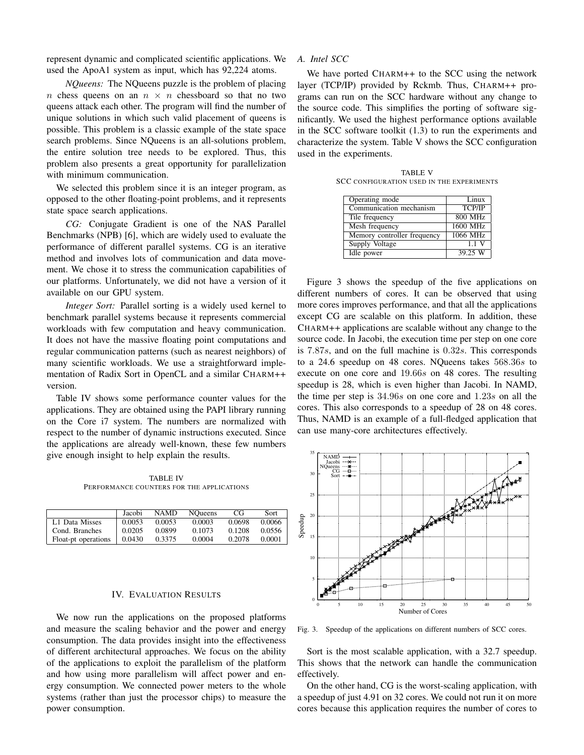represent dynamic and complicated scientific applications. We used the ApoA1 system as input, which has 92,224 atoms.

*NQueens:* The NQueens puzzle is the problem of placing n chess queens on an  $n \times n$  chessboard so that no two queens attack each other. The program will find the number of unique solutions in which such valid placement of queens is possible. This problem is a classic example of the state space search problems. Since NQueens is an all-solutions problem, the entire solution tree needs to be explored. Thus, this problem also presents a great opportunity for parallelization with minimum communication.

We selected this problem since it is an integer program, as opposed to the other floating-point problems, and it represents state space search applications.

*CG:* Conjugate Gradient is one of the NAS Parallel Benchmarks (NPB) [6], which are widely used to evaluate the performance of different parallel systems. CG is an iterative method and involves lots of communication and data movement. We chose it to stress the communication capabilities of our platforms. Unfortunately, we did not have a version of it available on our GPU system.

*Integer Sort:* Parallel sorting is a widely used kernel to benchmark parallel systems because it represents commercial workloads with few computation and heavy communication. It does not have the massive floating point computations and regular communication patterns (such as nearest neighbors) of many scientific workloads. We use a straightforward implementation of Radix Sort in OpenCL and a similar CHARM++ version.

Table IV shows some performance counter values for the applications. They are obtained using the PAPI library running on the Core i7 system. The numbers are normalized with respect to the number of dynamic instructions executed. Since the applications are already well-known, these few numbers give enough insight to help explain the results.

TABLE IV PERFORMANCE COUNTERS FOR THE APPLICATIONS

|                     | Jacobi | <b>NAMD</b> | <b>NOueens</b> | CG.    | Sort   |
|---------------------|--------|-------------|----------------|--------|--------|
| L1 Data Misses      | 0.0053 | 0.0053      | 0.0003         | 0.0698 | 0.0066 |
| Cond. Branches      | 0.0205 | 0.0899      | 0.1073         | 0.1208 | 0.0556 |
| Float-pt operations | 0.0430 | 0.3375      | 0.0004         | 0.2078 | 0.0001 |

#### IV. EVALUATION RESULTS

We now run the applications on the proposed platforms and measure the scaling behavior and the power and energy consumption. The data provides insight into the effectiveness of different architectural approaches. We focus on the ability of the applications to exploit the parallelism of the platform and how using more parallelism will affect power and energy consumption. We connected power meters to the whole systems (rather than just the processor chips) to measure the power consumption.

#### *A. Intel SCC*

We have ported CHARM++ to the SCC using the network layer (TCP/IP) provided by Rckmb. Thus, CHARM++ programs can run on the SCC hardware without any change to the source code. This simplifies the porting of software significantly. We used the highest performance options available in the SCC software toolkit (1.3) to run the experiments and characterize the system. Table V shows the SCC configuration used in the experiments.

TABLE V SCC CONFIGURATION USED IN THE EXPERIMENTS

| Operating mode              | Linux         |
|-----------------------------|---------------|
| Communication mechanism     | <b>TCP/IP</b> |
| Tile frequency              | 800 MHz       |
| Mesh frequency              | 1600 MHz      |
| Memory controller frequency | 1066 MHz      |
| Supply Voltage              | $1.1$ V       |
| Idle power                  | 39.25 W       |

Figure 3 shows the speedup of the five applications on different numbers of cores. It can be observed that using more cores improves performance, and that all the applications except CG are scalable on this platform. In addition, these CHARM++ applications are scalable without any change to the source code. In Jacobi, the execution time per step on one core is 7.87s, and on the full machine is 0.32s. This corresponds to a 24.6 speedup on 48 cores. NQueens takes 568.36s to execute on one core and 19.66s on 48 cores. The resulting speedup is 28, which is even higher than Jacobi. In NAMD, the time per step is 34.96s on one core and 1.23s on all the cores. This also corresponds to a speedup of 28 on 48 cores. Thus, NAMD is an example of a full-fledged application that can use many-core architectures effectively.



Fig. 3. Speedup of the applications on different numbers of SCC cores.

Sort is the most scalable application, with a 32.7 speedup. This shows that the network can handle the communication effectively.

On the other hand, CG is the worst-scaling application, with a speedup of just 4.91 on 32 cores. We could not run it on more cores because this application requires the number of cores to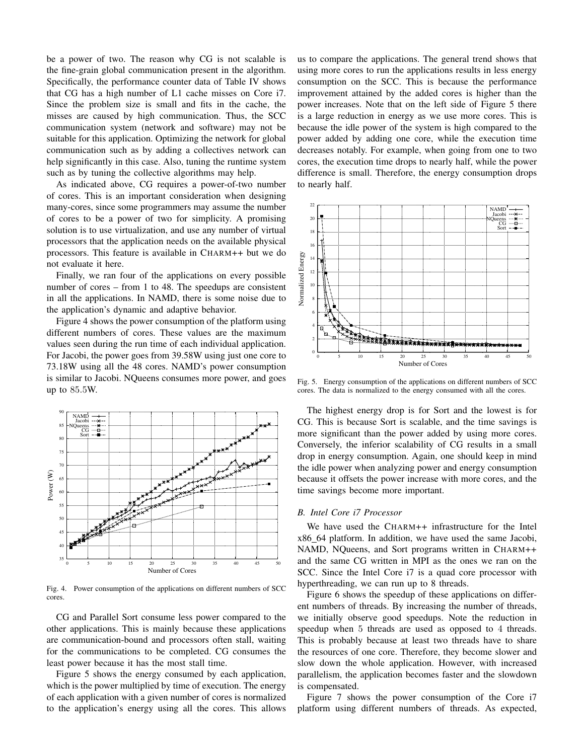be a power of two. The reason why CG is not scalable is the fine-grain global communication present in the algorithm. Specifically, the performance counter data of Table IV shows that CG has a high number of L1 cache misses on Core i7. Since the problem size is small and fits in the cache, the misses are caused by high communication. Thus, the SCC communication system (network and software) may not be suitable for this application. Optimizing the network for global communication such as by adding a collectives network can help significantly in this case. Also, tuning the runtime system such as by tuning the collective algorithms may help.

As indicated above, CG requires a power-of-two number of cores. This is an important consideration when designing many-cores, since some programmers may assume the number of cores to be a power of two for simplicity. A promising solution is to use virtualization, and use any number of virtual processors that the application needs on the available physical processors. This feature is available in CHARM++ but we do not evaluate it here.

Finally, we ran four of the applications on every possible number of cores – from 1 to 48. The speedups are consistent in all the applications. In NAMD, there is some noise due to the application's dynamic and adaptive behavior.

Figure 4 shows the power consumption of the platform using different numbers of cores. These values are the maximum values seen during the run time of each individual application. For Jacobi, the power goes from 39.58W using just one core to 73.18W using all the 48 cores. NAMD's power consumption is similar to Jacobi. NQueens consumes more power, and goes up to 85.5W.



Fig. 4. Power consumption of the applications on different numbers of SCC cores.

CG and Parallel Sort consume less power compared to the other applications. This is mainly because these applications are communication-bound and processors often stall, waiting for the communications to be completed. CG consumes the least power because it has the most stall time.

Figure 5 shows the energy consumed by each application, which is the power multiplied by time of execution. The energy of each application with a given number of cores is normalized to the application's energy using all the cores. This allows us to compare the applications. The general trend shows that using more cores to run the applications results in less energy consumption on the SCC. This is because the performance improvement attained by the added cores is higher than the power increases. Note that on the left side of Figure 5 there is a large reduction in energy as we use more cores. This is because the idle power of the system is high compared to the power added by adding one core, while the execution time decreases notably. For example, when going from one to two cores, the execution time drops to nearly half, while the power difference is small. Therefore, the energy consumption drops to nearly half.



Fig. 5. Energy consumption of the applications on different numbers of SCC cores. The data is normalized to the energy consumed with all the cores.

The highest energy drop is for Sort and the lowest is for CG. This is because Sort is scalable, and the time savings is more significant than the power added by using more cores. Conversely, the inferior scalability of CG results in a small drop in energy consumption. Again, one should keep in mind the idle power when analyzing power and energy consumption because it offsets the power increase with more cores, and the time savings become more important.

# *B. Intel Core i7 Processor*

We have used the CHARM++ infrastructure for the Intel x86 64 platform. In addition, we have used the same Jacobi, NAMD, NQueens, and Sort programs written in CHARM++ and the same CG written in MPI as the ones we ran on the SCC. Since the Intel Core i7 is a quad core processor with hyperthreading, we can run up to 8 threads.

Figure 6 shows the speedup of these applications on different numbers of threads. By increasing the number of threads, we initially observe good speedups. Note the reduction in speedup when 5 threads are used as opposed to 4 threads. This is probably because at least two threads have to share the resources of one core. Therefore, they become slower and slow down the whole application. However, with increased parallelism, the application becomes faster and the slowdown is compensated.

Figure 7 shows the power consumption of the Core i7 platform using different numbers of threads. As expected,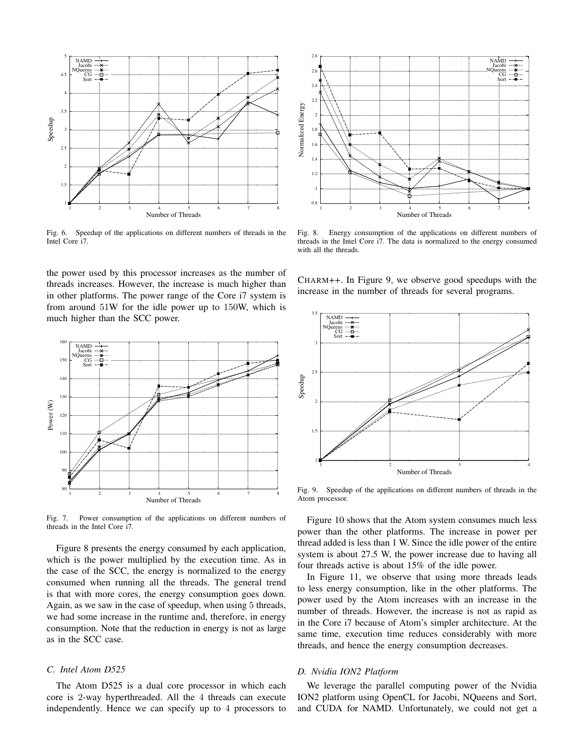

Fig. 6. Speedup of the applications on different numbers of threads in the Intel Core i7.

the power used by this processor increases as the number of threads increases. However, the increase is much higher than in other platforms. The power range of the Core i7 system is from around 51W for the idle power up to 150W, which is much higher than the SCC power.



Fig. 7. Power consumption of the applications on different numbers of threads in the Intel Core i7.

Figure 8 presents the energy consumed by each application, which is the power multiplied by the execution time. As in the case of the SCC, the energy is normalized to the energy consumed when running all the threads. The general trend is that with more cores, the energy consumption goes down. Again, as we saw in the case of speedup, when using 5 threads, we had some increase in the runtime and, therefore, in energy consumption. Note that the reduction in energy is not as large as in the SCC case.

#### *C. Intel Atom D525*

The Atom D525 is a dual core processor in which each core is 2-way hyperthreaded. All the 4 threads can execute independently. Hence we can specify up to 4 processors to



Fig. 8. Energy consumption of the applications on different numbers of threads in the Intel Core i7. The data is normalized to the energy consumed with all the threads.

CHARM++. In Figure 9, we observe good speedups with the increase in the number of threads for several programs.



Fig. 9. Speedup of the applications on different numbers of threads in the Atom processor.

Figure 10 shows that the Atom system consumes much less power than the other platforms. The increase in power per thread added is less than 1 W. Since the idle power of the entire system is about 27.5 W, the power increase due to having all four threads active is about 15% of the idle power.

In Figure 11, we observe that using more threads leads to less energy consumption, like in the other platforms. The power used by the Atom increases with an increase in the number of threads. However, the increase is not as rapid as in the Core i7 because of Atom's simpler architecture. At the same time, execution time reduces considerably with more threads, and hence the energy consumption decreases.

#### *D. Nvidia ION2 Platform*

We leverage the parallel computing power of the Nvidia ION2 platform using OpenCL for Jacobi, NQueens and Sort, and CUDA for NAMD. Unfortunately, we could not get a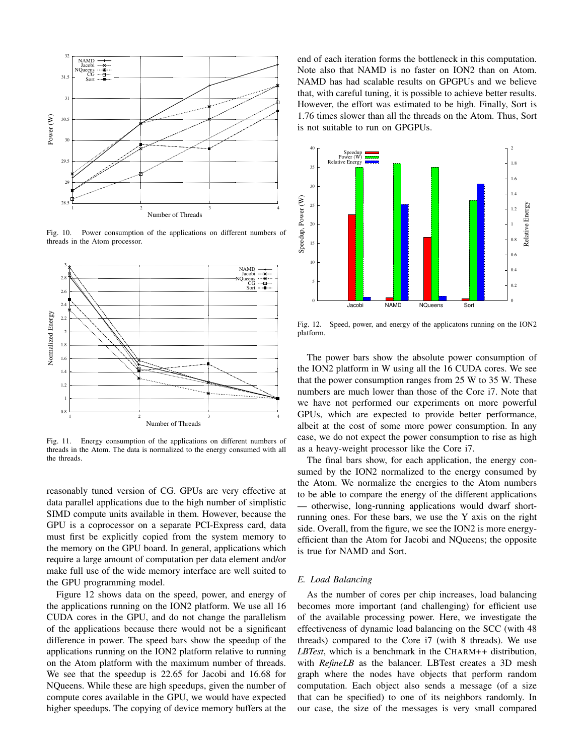

Fig. 10. Power consumption of the applications on different numbers of threads in the Atom processor.



Fig. 11. Energy consumption of the applications on different numbers of threads in the Atom. The data is normalized to the energy consumed with all the threads.

reasonably tuned version of CG. GPUs are very effective at data parallel applications due to the high number of simplistic SIMD compute units available in them. However, because the GPU is a coprocessor on a separate PCI-Express card, data must first be explicitly copied from the system memory to the memory on the GPU board. In general, applications which require a large amount of computation per data element and/or make full use of the wide memory interface are well suited to the GPU programming model.

Figure 12 shows data on the speed, power, and energy of the applications running on the ION2 platform. We use all 16 CUDA cores in the GPU, and do not change the parallelism of the applications because there would not be a significant difference in power. The speed bars show the speedup of the applications running on the ION2 platform relative to running on the Atom platform with the maximum number of threads. We see that the speedup is 22.65 for Jacobi and 16.68 for NQueens. While these are high speedups, given the number of compute cores available in the GPU, we would have expected higher speedups. The copying of device memory buffers at the

end of each iteration forms the bottleneck in this computation. Note also that NAMD is no faster on ION2 than on Atom. NAMD has had scalable results on GPGPUs and we believe that, with careful tuning, it is possible to achieve better results. However, the effort was estimated to be high. Finally, Sort is 1.76 times slower than all the threads on the Atom. Thus, Sort is not suitable to run on GPGPUs.



Fig. 12. Speed, power, and energy of the applicatons running on the ION2 platform.

The power bars show the absolute power consumption of the ION2 platform in W using all the 16 CUDA cores. We see that the power consumption ranges from 25 W to 35 W. These numbers are much lower than those of the Core i7. Note that we have not performed our experiments on more powerful GPUs, which are expected to provide better performance, albeit at the cost of some more power consumption. In any case, we do not expect the power consumption to rise as high as a heavy-weight processor like the Core i7.

The final bars show, for each application, the energy consumed by the ION2 normalized to the energy consumed by the Atom. We normalize the energies to the Atom numbers to be able to compare the energy of the different applications — otherwise, long-running applications would dwarf shortrunning ones. For these bars, we use the Y axis on the right side. Overall, from the figure, we see the ION2 is more energyefficient than the Atom for Jacobi and NQueens; the opposite is true for NAMD and Sort.

### *E. Load Balancing*

As the number of cores per chip increases, load balancing becomes more important (and challenging) for efficient use of the available processing power. Here, we investigate the effectiveness of dynamic load balancing on the SCC (with 48 threads) compared to the Core i7 (with 8 threads). We use *LBTest*, which is a benchmark in the CHARM++ distribution, with *RefineLB* as the balancer. LBTest creates a 3D mesh graph where the nodes have objects that perform random computation. Each object also sends a message (of a size that can be specified) to one of its neighbors randomly. In our case, the size of the messages is very small compared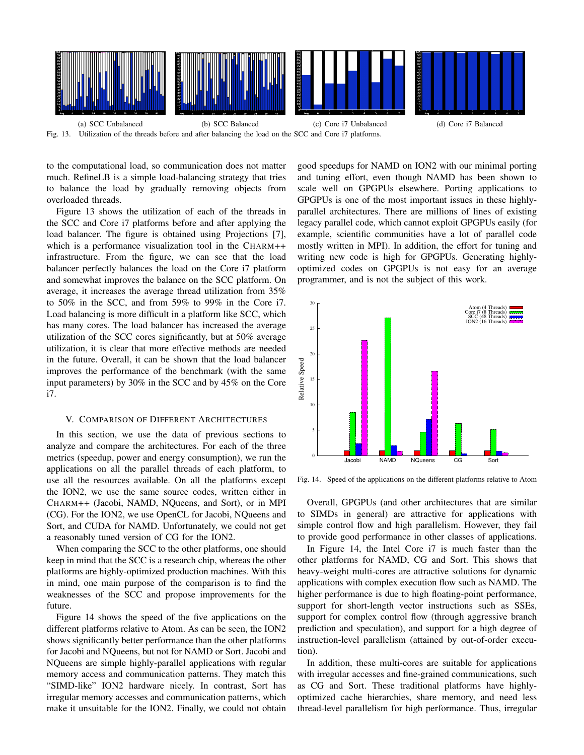

Fig. 13. Utilization of the threads before and after balancing the load on the SCC and Core i7 platforms.

to the computational load, so communication does not matter much. RefineLB is a simple load-balancing strategy that tries to balance the load by gradually removing objects from overloaded threads.

Figure 13 shows the utilization of each of the threads in the SCC and Core i7 platforms before and after applying the load balancer. The figure is obtained using Projections [7], which is a performance visualization tool in the CHARM++ infrastructure. From the figure, we can see that the load balancer perfectly balances the load on the Core i7 platform and somewhat improves the balance on the SCC platform. On average, it increases the average thread utilization from 35% to 50% in the SCC, and from 59% to 99% in the Core i7. Load balancing is more difficult in a platform like SCC, which has many cores. The load balancer has increased the average utilization of the SCC cores significantly, but at 50% average utilization, it is clear that more effective methods are needed in the future. Overall, it can be shown that the load balancer improves the performance of the benchmark (with the same input parameters) by 30% in the SCC and by 45% on the Core i7.

# V. COMPARISON OF DIFFERENT ARCHITECTURES

In this section, we use the data of previous sections to analyze and compare the architectures. For each of the three metrics (speedup, power and energy consumption), we run the applications on all the parallel threads of each platform, to use all the resources available. On all the platforms except the ION2, we use the same source codes, written either in CHARM++ (Jacobi, NAMD, NQueens, and Sort), or in MPI (CG). For the ION2, we use OpenCL for Jacobi, NQueens and Sort, and CUDA for NAMD. Unfortunately, we could not get a reasonably tuned version of CG for the ION2.

When comparing the SCC to the other platforms, one should keep in mind that the SCC is a research chip, whereas the other platforms are highly-optimized production machines. With this in mind, one main purpose of the comparison is to find the weaknesses of the SCC and propose improvements for the future.

Figure 14 shows the speed of the five applications on the different platforms relative to Atom. As can be seen, the ION2 shows significantly better performance than the other platforms for Jacobi and NQueens, but not for NAMD or Sort. Jacobi and NQueens are simple highly-parallel applications with regular memory access and communication patterns. They match this "SIMD-like" ION2 hardware nicely. In contrast, Sort has irregular memory accesses and communication patterns, which make it unsuitable for the ION2. Finally, we could not obtain

good speedups for NAMD on ION2 with our minimal porting and tuning effort, even though NAMD has been shown to scale well on GPGPUs elsewhere. Porting applications to GPGPUs is one of the most important issues in these highlyparallel architectures. There are millions of lines of existing legacy parallel code, which cannot exploit GPGPUs easily (for example, scientific communities have a lot of parallel code mostly written in MPI). In addition, the effort for tuning and writing new code is high for GPGPUs. Generating highlyoptimized codes on GPGPUs is not easy for an average programmer, and is not the subject of this work.



Fig. 14. Speed of the applications on the different platforms relative to Atom

Overall, GPGPUs (and other architectures that are similar to SIMDs in general) are attractive for applications with simple control flow and high parallelism. However, they fail to provide good performance in other classes of applications.

In Figure 14, the Intel Core i7 is much faster than the other platforms for NAMD, CG and Sort. This shows that heavy-weight multi-cores are attractive solutions for dynamic applications with complex execution flow such as NAMD. The higher performance is due to high floating-point performance, support for short-length vector instructions such as SSEs, support for complex control flow (through aggressive branch prediction and speculation), and support for a high degree of instruction-level parallelism (attained by out-of-order execution).

In addition, these multi-cores are suitable for applications with irregular accesses and fine-grained communications, such as CG and Sort. These traditional platforms have highlyoptimized cache hierarchies, share memory, and need less thread-level parallelism for high performance. Thus, irregular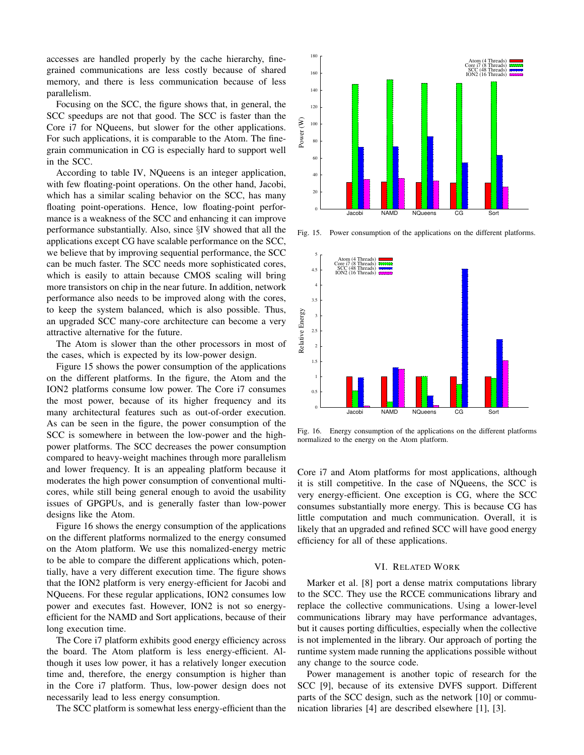accesses are handled properly by the cache hierarchy, finegrained communications are less costly because of shared memory, and there is less communication because of less parallelism.

Focusing on the SCC, the figure shows that, in general, the SCC speedups are not that good. The SCC is faster than the Core i7 for NQueens, but slower for the other applications. For such applications, it is comparable to the Atom. The finegrain communication in CG is especially hard to support well in the SCC.

According to table IV, NQueens is an integer application, with few floating-point operations. On the other hand, Jacobi, which has a similar scaling behavior on the SCC, has many floating point-operations. Hence, low floating-point performance is a weakness of the SCC and enhancing it can improve performance substantially. Also, since §IV showed that all the applications except CG have scalable performance on the SCC, we believe that by improving sequential performance, the SCC can be much faster. The SCC needs more sophisticated cores, which is easily to attain because CMOS scaling will bring more transistors on chip in the near future. In addition, network performance also needs to be improved along with the cores, to keep the system balanced, which is also possible. Thus, an upgraded SCC many-core architecture can become a very attractive alternative for the future.

The Atom is slower than the other processors in most of the cases, which is expected by its low-power design.

Figure 15 shows the power consumption of the applications on the different platforms. In the figure, the Atom and the ION2 platforms consume low power. The Core i7 consumes the most power, because of its higher frequency and its many architectural features such as out-of-order execution. As can be seen in the figure, the power consumption of the SCC is somewhere in between the low-power and the highpower platforms. The SCC decreases the power consumption compared to heavy-weight machines through more parallelism and lower frequency. It is an appealing platform because it moderates the high power consumption of conventional multicores, while still being general enough to avoid the usability issues of GPGPUs, and is generally faster than low-power designs like the Atom.

Figure 16 shows the energy consumption of the applications on the different platforms normalized to the energy consumed on the Atom platform. We use this nomalized-energy metric to be able to compare the different applications which, potentially, have a very different execution time. The figure shows that the ION2 platform is very energy-efficient for Jacobi and NQueens. For these regular applications, ION2 consumes low power and executes fast. However, ION2 is not so energyefficient for the NAMD and Sort applications, because of their long execution time.

The Core i7 platform exhibits good energy efficiency across the board. The Atom platform is less energy-efficient. Although it uses low power, it has a relatively longer execution time and, therefore, the energy consumption is higher than in the Core i7 platform. Thus, low-power design does not necessarily lead to less energy consumption.

The SCC platform is somewhat less energy-efficient than the



Fig. 15. Power consumption of the applications on the different platforms.



Fig. 16. Energy consumption of the applications on the different platforms normalized to the energy on the Atom platform.

Core i7 and Atom platforms for most applications, although it is still competitive. In the case of NQueens, the SCC is very energy-efficient. One exception is CG, where the SCC consumes substantially more energy. This is because CG has little computation and much communication. Overall, it is likely that an upgraded and refined SCC will have good energy efficiency for all of these applications.

### VI. RELATED WORK

Marker et al. [8] port a dense matrix computations library to the SCC. They use the RCCE communications library and replace the collective communications. Using a lower-level communications library may have performance advantages, but it causes porting difficulties, especially when the collective is not implemented in the library. Our approach of porting the runtime system made running the applications possible without any change to the source code.

Power management is another topic of research for the SCC [9], because of its extensive DVFS support. Different parts of the SCC design, such as the network [10] or communication libraries [4] are described elsewhere [1], [3].